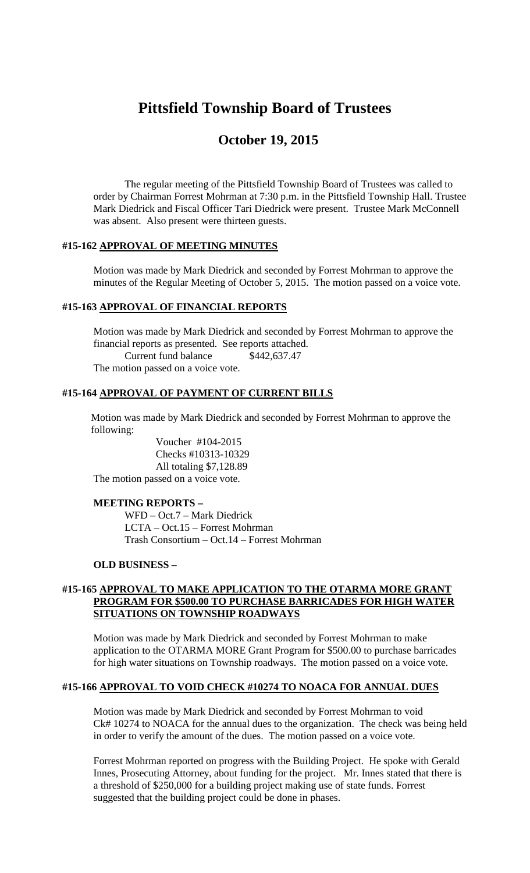# **Pittsfield Township Board of Trustees**

# **October 19, 2015**

The regular meeting of the Pittsfield Township Board of Trustees was called to order by Chairman Forrest Mohrman at 7:30 p.m. in the Pittsfield Township Hall. Trustee Mark Diedrick and Fiscal Officer Tari Diedrick were present. Trustee Mark McConnell was absent. Also present were thirteen guests.

## **#15-162 APPROVAL OF MEETING MINUTES**

Motion was made by Mark Diedrick and seconded by Forrest Mohrman to approve the minutes of the Regular Meeting of October 5, 2015. The motion passed on a voice vote.

#### **#15-163 APPROVAL OF FINANCIAL REPORTS**

Motion was made by Mark Diedrick and seconded by Forrest Mohrman to approve the financial reports as presented. See reports attached. Current fund balance \$442,637.47 The motion passed on a voice vote.

# **#15-164 APPROVAL OF PAYMENT OF CURRENT BILLS**

Motion was made by Mark Diedrick and seconded by Forrest Mohrman to approve the following:

Voucher #104-2015 Checks #10313-10329 All totaling \$7,128.89 The motion passed on a voice vote.

#### **MEETING REPORTS –**

WFD – Oct.7 – Mark Diedrick LCTA – Oct.15 – Forrest Mohrman Trash Consortium – Oct.14 – Forrest Mohrman

#### **OLD BUSINESS –**

#### **#15-165 APPROVAL TO MAKE APPLICATION TO THE OTARMA MORE GRANT PROGRAM FOR \$500.00 TO PURCHASE BARRICADES FOR HIGH WATER SITUATIONS ON TOWNSHIP ROADWAYS**

Motion was made by Mark Diedrick and seconded by Forrest Mohrman to make application to the OTARMA MORE Grant Program for \$500.00 to purchase barricades for high water situations on Township roadways. The motion passed on a voice vote.

# **#15-166 APPROVAL TO VOID CHECK #10274 TO NOACA FOR ANNUAL DUES**

Motion was made by Mark Diedrick and seconded by Forrest Mohrman to void Ck# 10274 to NOACA for the annual dues to the organization. The check was being held in order to verify the amount of the dues. The motion passed on a voice vote.

Forrest Mohrman reported on progress with the Building Project. He spoke with Gerald Innes, Prosecuting Attorney, about funding for the project. Mr. Innes stated that there is a threshold of \$250,000 for a building project making use of state funds. Forrest suggested that the building project could be done in phases.